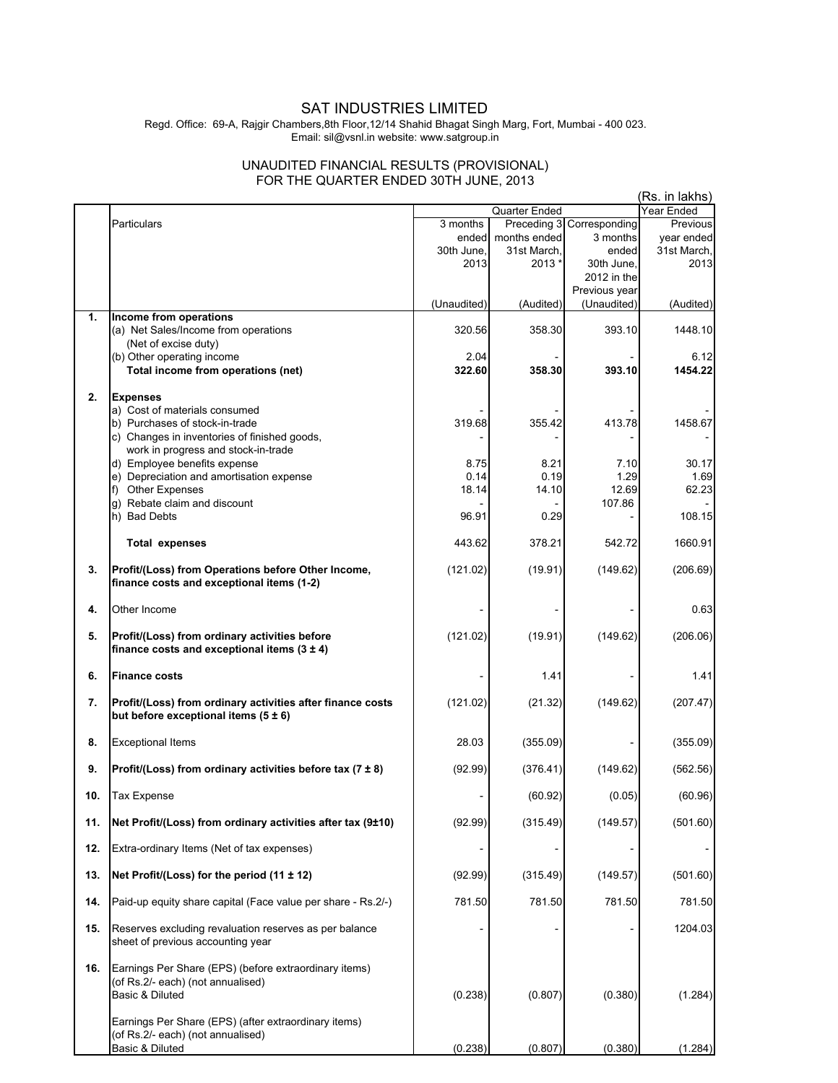## SAT INDUSTRIES LIMITED

Regd. Office: 69-A, Rajgir Chambers,8th Floor,12/14 Shahid Bhagat Singh Marg, Fort, Mumbai - 400 023. Email: sil@vsnl.in website: www.satgroup.in

## UNAUDITED FINANCIAL RESULTS (PROVISIONAL) FOR THE QUARTER ENDED 30TH JUNE, 2013

|     |                                                               |             |               | (Rs. in lakhs)            |             |
|-----|---------------------------------------------------------------|-------------|---------------|---------------------------|-------------|
|     |                                                               |             | Quarter Ended |                           | Year Ended  |
|     | Particulars                                                   | 3 months    |               | Preceding 3 Corresponding | Previous    |
|     |                                                               | ended       | months ended  | 3 months                  | year ended  |
|     |                                                               | 30th June,  | 31st March,   | ended                     | 31st March, |
|     |                                                               | 2013        | 2013 *        | 30th June,                | 2013        |
|     |                                                               |             |               | 2012 in the               |             |
|     |                                                               |             |               | Previous year             |             |
|     |                                                               | (Unaudited) | (Audited)     | (Unaudited)               | (Audited)   |
| 1.  | Income from operations                                        |             |               |                           |             |
|     | (a) Net Sales/Income from operations                          | 320.56      | 358.30        | 393.10                    | 1448.10     |
|     | (Net of excise duty)                                          |             |               |                           |             |
|     | (b) Other operating income                                    | 2.04        |               |                           | 6.12        |
|     | Total income from operations (net)                            | 322.60      | 358.30        | 393.10                    | 1454.22     |
|     |                                                               |             |               |                           |             |
| 2.  | <b>Expenses</b>                                               |             |               |                           |             |
|     | a) Cost of materials consumed                                 |             |               |                           |             |
|     | b) Purchases of stock-in-trade                                | 319.68      | 355.42        | 413.78                    | 1458.67     |
|     | c) Changes in inventories of finished goods,                  |             |               |                           |             |
|     | work in progress and stock-in-trade                           |             |               |                           |             |
|     | d) Employee benefits expense                                  | 8.75        | 8.21          | 7.10                      | 30.17       |
|     | e) Depreciation and amortisation expense                      | 0.14        | 0.19          | 1.29                      | 1.69        |
|     | f) Other Expenses                                             | 18.14       | 14.10         | 12.69                     | 62.23       |
|     | g) Rebate claim and discount                                  |             |               | 107.86                    |             |
|     | h) Bad Debts                                                  | 96.91       | 0.29          |                           | 108.15      |
|     |                                                               |             |               |                           |             |
|     | <b>Total expenses</b>                                         | 443.62      | 378.21        | 542.72                    | 1660.91     |
|     |                                                               |             |               |                           |             |
| 3.  | Profit/(Loss) from Operations before Other Income,            | (121.02)    | (19.91)       | (149.62)                  | (206.69)    |
|     | finance costs and exceptional items (1-2)                     |             |               |                           |             |
|     |                                                               |             |               |                           |             |
| 4.  | Other Income                                                  |             |               |                           | 0.63        |
|     |                                                               |             |               |                           |             |
| 5.  | Profit/(Loss) from ordinary activities before                 | (121.02)    | (19.91)       | (149.62)                  | (206.06)    |
|     | finance costs and exceptional items $(3 \pm 4)$               |             |               |                           |             |
|     |                                                               |             |               |                           |             |
| 6.  | <b>Finance costs</b>                                          |             | 1.41          |                           | 1.41        |
|     |                                                               |             |               |                           |             |
| 7.  | Profit/(Loss) from ordinary activities after finance costs    | (121.02)    | (21.32)       | (149.62)                  | (207.47)    |
|     | but before exceptional items $(5 \pm 6)$                      |             |               |                           |             |
|     |                                                               |             |               |                           |             |
| 8.  | <b>Exceptional Items</b>                                      | 28.03       | (355.09)      |                           | (355.09)    |
|     |                                                               |             |               |                           |             |
| 9.  | Profit/(Loss) from ordinary activities before tax $(7 \pm 8)$ | (92.99)     | (376.41)      | (149.62)                  | (562.56)    |
|     |                                                               |             |               |                           |             |
| 10. | <b>Tax Expense</b>                                            |             | (60.92)       | (0.05)                    | (60.96)     |
|     |                                                               |             |               |                           |             |
| 11. | Net Profit/(Loss) from ordinary activities after tax (9±10)   | (92.99)     | (315.49)      | (149.57)                  | (501.60)    |
|     |                                                               |             |               |                           |             |
| 12. | Extra-ordinary Items (Net of tax expenses)                    |             |               |                           |             |
|     |                                                               |             |               |                           |             |
| 13. | Net Profit/(Loss) for the period (11 ± 12)                    | (92.99)     | (315.49)      | (149.57)                  | (501.60)    |
|     |                                                               |             |               |                           |             |
| 14. | Paid-up equity share capital (Face value per share - Rs.2/-)  | 781.50      | 781.50        | 781.50                    | 781.50      |
|     |                                                               |             |               |                           |             |
| 15. | Reserves excluding revaluation reserves as per balance        |             |               |                           | 1204.03     |
|     | sheet of previous accounting year                             |             |               |                           |             |
|     |                                                               |             |               |                           |             |
| 16. | Earnings Per Share (EPS) (before extraordinary items)         |             |               |                           |             |
|     | (of Rs.2/- each) (not annualised)                             |             |               |                           |             |
|     | Basic & Diluted                                               | (0.238)     | (0.807)       | (0.380)                   | (1.284)     |
|     |                                                               |             |               |                           |             |
|     | Earnings Per Share (EPS) (after extraordinary items)          |             |               |                           |             |
|     | (of Rs.2/- each) (not annualised)                             |             |               |                           |             |
|     | Basic & Diluted                                               | (0.238)     | (0.807)       | (0.380)                   | (1.284)     |